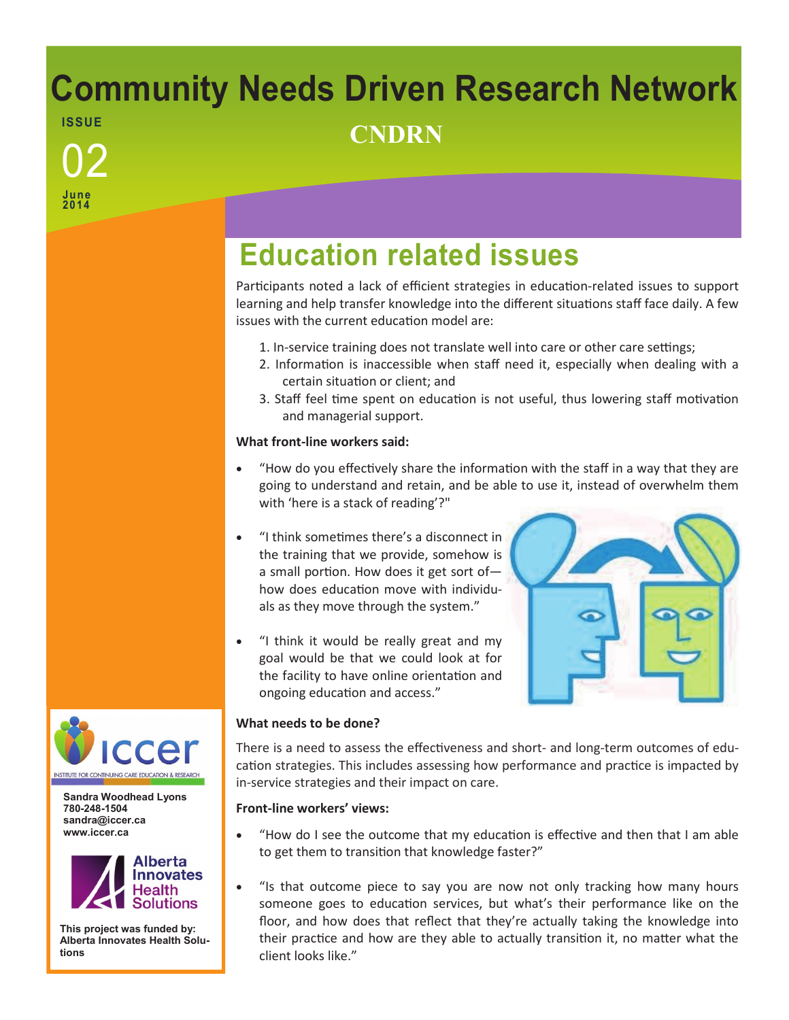# **Community Needs Driven Research Network ISSUE** <sup>02</sup> **CNDRN**

**June 2014**

## **Education related issues**

Participants noted a lack of efficient strategies in education-related issues to support learning and help transfer knowledge into the different situations staff face daily. A few issues with the current education model are:

- 1. In-service training does not translate well into care or other care settings;
- 2. Information is inaccessible when staff need it, especially when dealing with a certain situation or client; and
- 3. Staff feel time spent on education is not useful, thus lowering staff motivation and managerial support.

### **What front-line workers said:**

- "How do you effectively share the information with the staff in a way that they are going to understand and retain, and be able to use it, instead of overwhelm them with 'here is a stack of reading'?"
- "I think sometimes there's a disconnect in the training that we provide, somehow is a small portion. How does it get sort of how does education move with individuals as they move through the system."
- "I think it would be really great and my goal would be that we could look at for the facility to have online orientation and ongoing education and access."



### **What needs to be done?**

There is a need to assess the effectiveness and short- and long-term outcomes of education strategies. This includes assessing how performance and practice is impacted by in-service strategies and their impact on care.

### **Front-line workers' views:**

- "How do I see the outcome that my education is effective and then that I am able to get them to transition that knowledge faster?"
- "Is that outcome piece to say you are now not only tracking how many hours someone goes to education services, but what's their performance like on the floor, and how does that reflect that they're actually taking the knowledge into their practice and how are they able to actually transition it, no matter what the client looks like."



**Sandra Woodhead Lyons 780-248-1504 sandra@iccer.ca www.iccer.ca** 



**This project was funded by: Alberta Innovates Health Solutions**